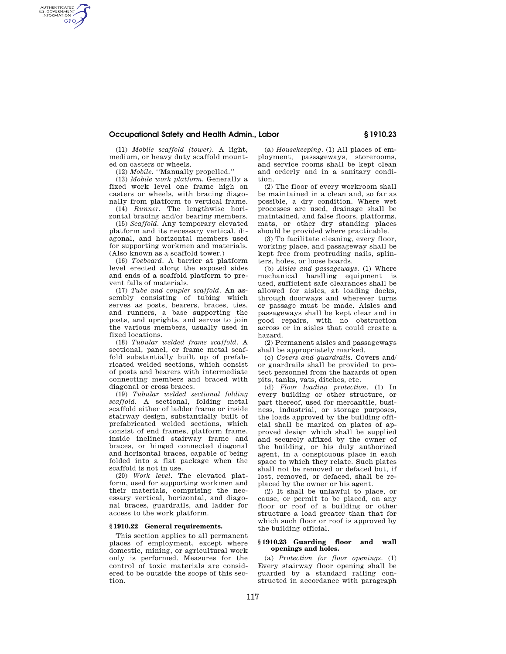## **Occupational Safety and Health Admin., Labor § 1910.23**

(11) *Mobile scaffold (tower).* A light, medium, or heavy duty scaffold mounted on casters or wheels.

AUTHENTICATED<br>U.S. GOVERNMENT<br>INFORMATION **GPO** 

(12) *Mobile.* ''Manually propelled.''

(13) *Mobile work platform.* Generally a fixed work level one frame high on casters or wheels, with bracing diagonally from platform to vertical frame.

(14) *Runner.* The lengthwise horizontal bracing and/or bearing members.

(15) *Scaffold.* Any temporary elevated platform and its necessary vertical, diagonal, and horizontal members used for supporting workmen and materials. (Also known as a scaffold tower.)

(16) *Toeboard.* A barrier at platform level erected along the exposed sides and ends of a scaffold platform to prevent falls of materials.

(17) *Tube and coupler scaffold.* An assembly consisting of tubing which serves as posts, bearers, braces, ties, and runners, a base supporting the posts, and uprights, and serves to join the various members, usually used in fixed locations.

(18) *Tubular welded frame scaffold.* A sectional, panel, or frame metal scaffold substantially built up of prefabricated welded sections, which consist of posts and bearers with intermediate connecting members and braced with diagonal or cross braces.

(19) *Tubular welded sectional folding scaffold.* A sectional, folding metal scaffold either of ladder frame or inside stairway design, substantially built of prefabricated welded sections, which consist of end frames, platform frame, inside inclined stairway frame and braces, or hinged connected diagonal and horizontal braces, capable of being folded into a flat package when the scaffold is not in use.

(20) *Work level.* The elevated platform, used for supporting workmen and their materials, comprising the necessary vertical, horizontal, and diagonal braces, guardrails, and ladder for access to the work platform.

#### **§ 1910.22 General requirements.**

This section applies to all permanent places of employment, except where domestic, mining, or agricultural work only is performed. Measures for the control of toxic materials are considered to be outside the scope of this section.

(a) *Housekeeping.* (1) All places of employment, passageways, storerooms, and service rooms shall be kept clean and orderly and in a sanitary condition.

(2) The floor of every workroom shall be maintained in a clean and, so far as possible, a dry condition. Where wet processes are used, drainage shall be maintained, and false floors, platforms mats, or other dry standing places should be provided where practicable.

(3) To facilitate cleaning, every floor, working place, and passageway shall be kept free from protruding nails, splinters, holes, or loose boards.

(b) *Aisles and passageways.* (1) Where mechanical handling equipment is used, sufficient safe clearances shall be allowed for aisles, at loading docks, through doorways and wherever turns or passage must be made. Aisles and passageways shall be kept clear and in good repairs, with no obstruction across or in aisles that could create a hazard.

(2) Permanent aisles and passageways shall be appropriately marked.

(c) *Covers and guardrails.* Covers and/ or guardrails shall be provided to protect personnel from the hazards of open pits, tanks, vats, ditches, etc.

(d) *Floor loading protection.* (1) In every building or other structure, or part thereof, used for mercantile, business, industrial, or storage purposes, the loads approved by the building official shall be marked on plates of approved design which shall be supplied and securely affixed by the owner of the building, or his duly authorized agent, in a conspicuous place in each space to which they relate. Such plates shall not be removed or defaced but, if lost, removed, or defaced, shall be replaced by the owner or his agent.

(2) It shall be unlawful to place, or cause, or permit to be placed, on any floor or roof of a building or other structure a load greater than that for which such floor or roof is approved by the building official.

#### **§ 1910.23 Guarding floor and wall openings and holes.**

(a) *Protection for floor openings.* (1) Every stairway floor opening shall be guarded by a standard railing constructed in accordance with paragraph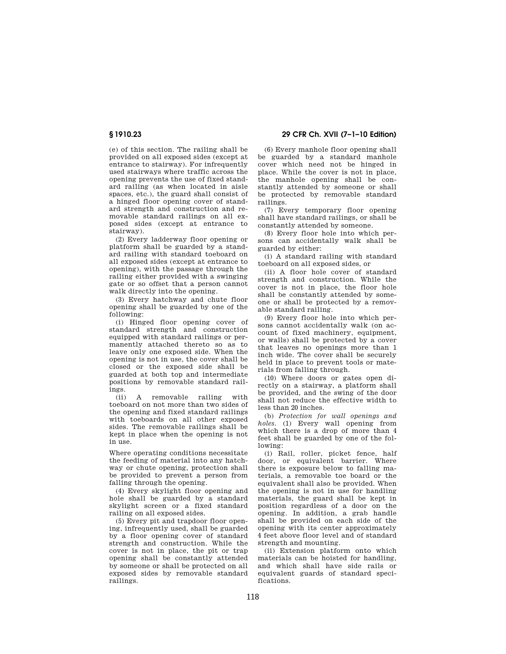(e) of this section. The railing shall be provided on all exposed sides (except at entrance to stairway). For infrequently used stairways where traffic across the opening prevents the use of fixed standard railing (as when located in aisle spaces, etc.), the guard shall consist of a hinged floor opening cover of standard strength and construction and removable standard railings on all exposed sides (except at entrance to stairway).

(2) Every ladderway floor opening or platform shall be guarded by a standard railing with standard toeboard on all exposed sides (except at entrance to opening), with the passage through the railing either provided with a swinging gate or so offset that a person cannot walk directly into the opening.

(3) Every hatchway and chute floor opening shall be guarded by one of the following:

(i) Hinged floor opening cover of standard strength and construction equipped with standard railings or permanently attached thereto so as to leave only one exposed side. When the opening is not in use, the cover shall be closed or the exposed side shall be guarded at both top and intermediate positions by removable standard railings.

(ii) A removable railing with toeboard on not more than two sides of the opening and fixed standard railings with toeboards on all other exposed sides. The removable railings shall be kept in place when the opening is not in use.

Where operating conditions necessitate the feeding of material into any hatchway or chute opening, protection shall be provided to prevent a person from falling through the opening.

(4) Every skylight floor opening and hole shall be guarded by a standard skylight screen or a fixed standard railing on all exposed sides.

(5) Every pit and trapdoor floor opening, infrequently used, shall be guarded by a floor opening cover of standard strength and construction. While the cover is not in place, the pit or trap opening shall be constantly attended by someone or shall be protected on all exposed sides by removable standard railings.

**§ 1910.23 29 CFR Ch. XVII (7–1–10 Edition)** 

(6) Every manhole floor opening shall be guarded by a standard manhole cover which need not be hinged in place. While the cover is not in place, the manhole opening shall be constantly attended by someone or shall be protected by removable standard railings.

(7) Every temporary floor opening shall have standard railings, or shall be constantly attended by someone.

(8) Every floor hole into which persons can accidentally walk shall be guarded by either:

(i) A standard railing with standard toeboard on all exposed sides, or

(ii) A floor hole cover of standard strength and construction. While the cover is not in place, the floor hole shall be constantly attended by someone or shall be protected by a removable standard railing.

(9) Every floor hole into which persons cannot accidentally walk (on account of fixed machinery, equipment, or walls) shall be protected by a cover that leaves no openings more than 1 inch wide. The cover shall be securely held in place to prevent tools or materials from falling through.

(10) Where doors or gates open directly on a stairway, a platform shall be provided, and the swing of the door shall not reduce the effective width to less than 20 inches.

(b) *Protection for wall openings and holes.* (1) Every wall opening from which there is a drop of more than 4 feet shall be guarded by one of the following:

(i) Rail, roller, picket fence, half door, or equivalent barrier. Where there is exposure below to falling materials, a removable toe board or the equivalent shall also be provided. When the opening is not in use for handling materials, the guard shall be kept in position regardless of a door on the opening. In addition, a grab handle shall be provided on each side of the opening with its center approximately 4 feet above floor level and of standard strength and mounting.

(ii) Extension platform onto which materials can be hoisted for handling, and which shall have side rails or equivalent guards of standard specifications.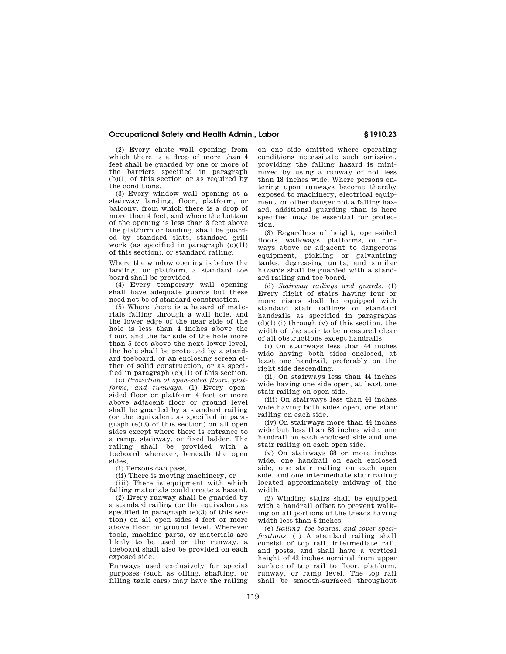## **Occupational Safety and Health Admin., Labor § 1910.23**

(2) Every chute wall opening from which there is a drop of more than 4 feet shall be guarded by one or more of the barriers specified in paragraph  $(b)(1)$  of this section or as required by the conditions.

(3) Every window wall opening at a stairway landing, floor, platform, or balcony, from which there is a drop of more than 4 feet, and where the bottom of the opening is less than 3 feet above the platform or landing, shall be guarded by standard slats, standard grill work (as specified in paragraph  $(e)(11)$ of this section), or standard railing.

Where the window opening is below the landing, or platform, a standard toe board shall be provided.

(4) Every temporary wall opening shall have adequate guards but these need not be of standard construction.

(5) Where there is a hazard of materials falling through a wall hole, and the lower edge of the near side of the hole is less than 4 inches above the floor, and the far side of the hole more than 5 feet above the next lower level, the hole shall be protected by a standard toeboard, or an enclosing screen either of solid construction, or as specified in paragraph (e)(11) of this section.

(c) *Protection of open-sided floors, platforms, and runways.* (1) Every opensided floor or platform 4 feet or more above adjacent floor or ground level shall be guarded by a standard railing (or the equivalent as specified in paragraph (e)(3) of this section) on all open sides except where there is entrance to a ramp, stairway, or fixed ladder. The railing shall be provided with a toeboard wherever, beneath the open sides,

(i) Persons can pass,

(ii) There is moving machinery, or

(iii) There is equipment with which falling materials could create a hazard.

(2) Every runway shall be guarded by a standard railing (or the equivalent as specified in paragraph (e)(3) of this section) on all open sides 4 feet or more above floor or ground level. Wherever tools, machine parts, or materials are likely to be used on the runway, a toeboard shall also be provided on each exposed side.

Runways used exclusively for special purposes (such as oiling, shafting, or filling tank cars) may have the railing

on one side omitted where operating conditions necessitate such omission, providing the falling hazard is minimized by using a runway of not less than 18 inches wide. Where persons entering upon runways become thereby exposed to machinery, electrical equipment, or other danger not a falling hazard, additional guarding than is here specified may be essential for protection.

(3) Regardless of height, open-sided floors, walkways, platforms, or runways above or adjacent to dangerous equipment, pickling or galvanizing tanks, degreasing units, and similar hazards shall be guarded with a standard railing and toe board.

(d) *Stairway railings and guards.* (1) Every flight of stairs having four or more risers shall be equipped with standard stair railings or standard handrails as specified in paragraphs  $(d)(1)$  (i) through  $(v)$  of this section, the width of the stair to be measured clear of all obstructions except handrails:

(i) On stairways less than 44 inches wide having both sides enclosed, at least one handrail, preferably on the right side descending.

(ii) On stairways less than 44 inches wide having one side open, at least one stair railing on open side.

(iii) On stairways less than 44 inches wide having both sides open, one stair railing on each side.

(iv) On stairways more than 44 inches wide but less than 88 inches wide, one handrail on each enclosed side and one stair railing on each open side.

(v) On stairways 88 or more inches wide, one handrail on each enclosed side, one stair railing on each open side, and one intermediate stair railing located approximately midway of the width.

(2) Winding stairs shall be equipped with a handrail offset to prevent walking on all portions of the treads having width less than 6 inches.

(e) *Railing, toe boards, and cover specifications.* (1) A standard railing shall consist of top rail, intermediate rail, and posts, and shall have a vertical height of 42 inches nominal from upper surface of top rail to floor, platform, runway, or ramp level. The top rail shall be smooth-surfaced throughout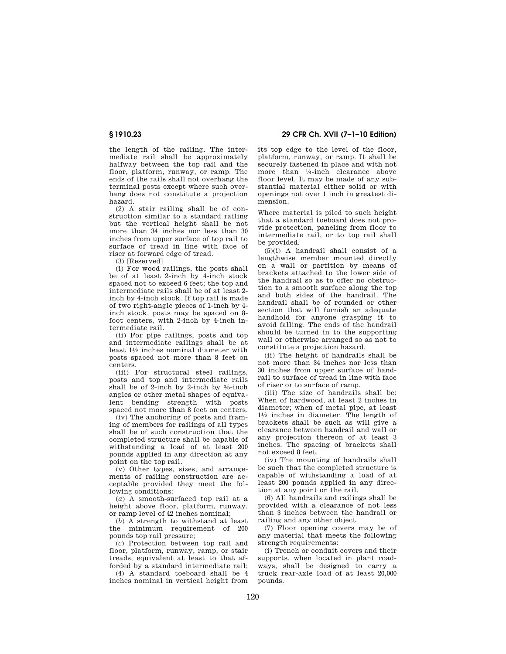the length of the railing. The intermediate rail shall be approximately halfway between the top rail and the floor, platform, runway, or ramp. The ends of the rails shall not overhang the terminal posts except where such overhang does not constitute a projection hazard.

(2) A stair railing shall be of construction similar to a standard railing but the vertical height shall be not more than 34 inches nor less than 30 inches from upper surface of top rail to surface of tread in line with face of riser at forward edge of tread.

(3) [Reserved]

(i) For wood railings, the posts shall be of at least 2-inch by 4-inch stock spaced not to exceed 6 feet; the top and intermediate rails shall be of at least 2 inch by 4-inch stock. If top rail is made of two right-angle pieces of 1-inch by 4 inch stock, posts may be spaced on 8 foot centers, with 2-inch by 4-inch intermediate rail.

(ii) For pipe railings, posts and top and intermediate railings shall be at least 11⁄2 inches nominal diameter with posts spaced not more than 8 feet on centers.

(iii) For structural steel railings, posts and top and intermediate rails shall be of 2-inch by 2-inch by 3⁄8-inch angles or other metal shapes of equivalent bending strength with posts spaced not more than 8 feet on centers.

(iv) The anchoring of posts and framing of members for railings of all types shall be of such construction that the completed structure shall be capable of withstanding a load of at least 200 pounds applied in any direction at any point on the top rail.

(v) Other types, sizes, and arrangements of railing construction are acceptable provided they meet the following conditions:

(*a*) A smooth-surfaced top rail at a height above floor, platform, runway, or ramp level of 42 inches nominal;

(*b*) A strength to withstand at least the minimum requirement of 200 pounds top rail pressure;

(*c*) Protection between top rail and floor, platform, runway, ramp, or stair treads, equivalent at least to that afforded by a standard intermediate rail;

(4) A standard toeboard shall be 4 inches nominal in vertical height from

**§ 1910.23 29 CFR Ch. XVII (7–1–10 Edition)** 

its top edge to the level of the floor, platform, runway, or ramp. It shall be securely fastened in place and with not more than 1⁄4-inch clearance above floor level. It may be made of any substantial material either solid or with openings not over 1 inch in greatest dimension.

Where material is piled to such height that a standard toeboard does not provide protection, paneling from floor to intermediate rail, or to top rail shall be provided.

(5)(i) A handrail shall consist of a lengthwise member mounted directly on a wall or partition by means of brackets attached to the lower side of the handrail so as to offer no obstruction to a smooth surface along the top and both sides of the handrail. The handrail shall be of rounded or other section that will furnish an adequate handhold for anyone grasping it to avoid falling. The ends of the handrail should be turned in to the supporting wall or otherwise arranged so as not to constitute a projection hazard.

(ii) The height of handrails shall be not more than 34 inches nor less than 30 inches from upper surface of handrail to surface of tread in line with face of riser or to surface of ramp.

(iii) The size of handrails shall be: When of hardwood, at least 2 inches in diameter; when of metal pipe, at least 11⁄2 inches in diameter. The length of brackets shall be such as will give a clearance between handrail and wall or any projection thereon of at least 3 inches. The spacing of brackets shall not exceed 8 feet.

(iv) The mounting of handrails shall be such that the completed structure is capable of withstanding a load of at least 200 pounds applied in any direction at any point on the rail.

(6) All handrails and railings shall be provided with a clearance of not less than 3 inches between the handrail or railing and any other object.

(7) Floor opening covers may be of any material that meets the following strength requirements:

(i) Trench or conduit covers and their supports, when located in plant roadways, shall be designed to carry a truck rear-axle load of at least 20,000 pounds.